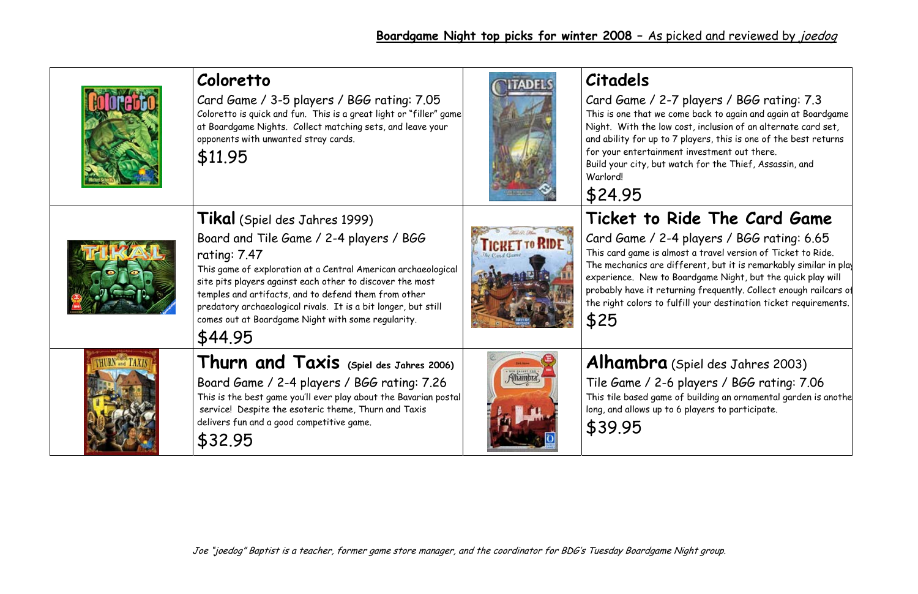|                               | Coloretto<br>Card Game / 3-5 players / BGG rating: 7.05<br>Coloretto is quick and fun. This is a great light or "filler" game<br>at Boardgame Nights. Collect matching sets, and leave your<br>opponents with unwanted stray cards.<br>\$11.95                                                                                                                                                                    |                     | <b>Citadels</b><br>Card Game / 2-7<br>This is one that we co<br>Night. With the low<br>and ability for up to 7<br>for your entertainme<br>Build your city, but w<br>Warlord!<br>\$24.95 |
|-------------------------------|-------------------------------------------------------------------------------------------------------------------------------------------------------------------------------------------------------------------------------------------------------------------------------------------------------------------------------------------------------------------------------------------------------------------|---------------------|-----------------------------------------------------------------------------------------------------------------------------------------------------------------------------------------|
|                               | Tikal (Spiel des Jahres 1999)<br>Board and Tile Game / 2-4 players / BGG<br>rating: 7.47<br>This game of exploration at a Central American archaeological<br>site pits players against each other to discover the most<br>temples and artifacts, and to defend them from other<br>predatory archaeological rivals. It is a bit longer, but still<br>comes out at Boardgame Night with some regularity.<br>\$44.95 | <b>ICRETTO RIDE</b> | Ticket to R<br>Card Game / 2-4<br>This card game is alm<br>The mechanics are di<br>experience. New to E<br>probably have it retu<br>the right colors to fu<br>\$25                      |
| <b>THURN</b> and <b>TAXIS</b> | Thurn and Taxis (Spiel des Jahres 2006)<br>Board Game / 2-4 players / BGG rating: 7.26<br>This is the best game you'll ever play about the Bavarian postal<br>service! Despite the esoteric theme, Thurn and Taxis<br>delivers fun and a good competitive game.<br>\$32.95                                                                                                                                        |                     | Alhambra<br>Tile Game / 2-6<br>This tile based game<br>long, and allows up to<br>\$39.95                                                                                                |

### **Alhambra** (Spiel des Jahres 2003)

players / BGG rating: 7.06 This tile based game of building an ornamental garden is anoth e 6 players to participate.

### 7 players / BGG rating: 7.3

ome back to again and again at Boardgame cost, inclusion of an alternate card set, 7 players, this is one of the best returns ent investment out there.

vatch for the Thief, Assassin, and

## **Ride The Card Game**

4 players / BGG rating: 6.65 nost a travel version of Ticket to Ride. The mechanics are different, but it is remarkably similar in pla $\mid$ Boardgame Night, but the quick play will probably have it returning frequently. Collect enough railcars o f Ifill your destination ticket requirements.